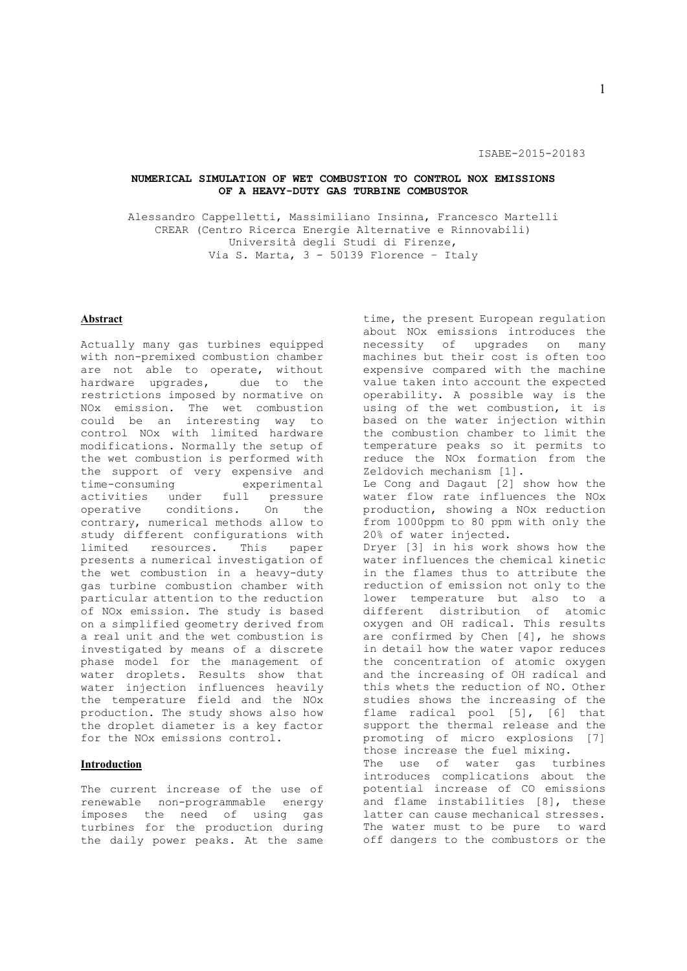### **NUMERICAL SIMULATION OF WET COMBUSTION TO CONTROL NOX EMISSIONS OF A HEAVY-DUTY GAS TURBINE COMBUSTOR**

Alessandro Cappelletti, Massimiliano Insinna, Francesco Martelli CREAR (Centro Ricerca Energie Alternative e Rinnovabili) Università degli Studi di Firenze, Via S. Marta, 3 - 50139 Florence – Italy

## **Abstract**

Actually many gas turbines equipped with non-premixed combustion chamber are not able to operate, without hardware upgrades, due to the restrictions imposed by normative on NOx emission. The wet combustion could be an interesting way to control NOx with limited hardware modifications. Normally the setup of the wet combustion is performed with the support of very expensive and time-consuming experimental activities under full pressure operative conditions. On the contrary, numerical methods allow to study different configurations with limited resources. This paper presents a numerical investigation of the wet combustion in a heavy-duty gas turbine combustion chamber with particular attention to the reduction of NOx emission. The study is based on a simplified geometry derived from a real unit and the wet combustion is investigated by means of a discrete phase model for the management of water droplets. Results show that water injection influences heavily the temperature field and the NOx production. The study shows also how the droplet diameter is a key factor for the NOx emissions control.

#### **Introduction**

The current increase of the use of renewable non-programmable energy imposes the need of using gas turbines for the production during the daily power peaks. At the same

time, the present European regulation about NOx emissions introduces the necessity of upgrades on many machines but their cost is often too expensive compared with the machine value taken into account the expected operability. A possible way is the using of the wet combustion, it is based on the water injection within the combustion chamber to limit the temperature peaks so it permits to reduce the NOx formation from the Zeldovich mechanism [1]. Le Cong and Dagaut [2] show how the water flow rate influences the NOx production, showing a NOx reduction from 1000ppm to 80 ppm with only the 20% of water injected. Dryer [3] in his work shows how the water influences the chemical kinetic in the flames thus to attribute the reduction of emission not only to the lower temperature but also to a different distribution of atomic oxygen and OH radical. This results are confirmed by Chen [4], he shows in detail how the water vapor reduces the concentration of atomic oxygen and the increasing of OH radical and this whets the reduction of NO. Other studies shows the increasing of the flame radical pool [5], [6] that support the thermal release and the promoting of micro explosions [7] those increase the fuel mixing. The use of water gas turbines introduces complications about the potential increase of CO emissions .<br>and flame instabilities [8], these latter can cause mechanical stresses. The water must to be pure to ward off dangers to the combustors or the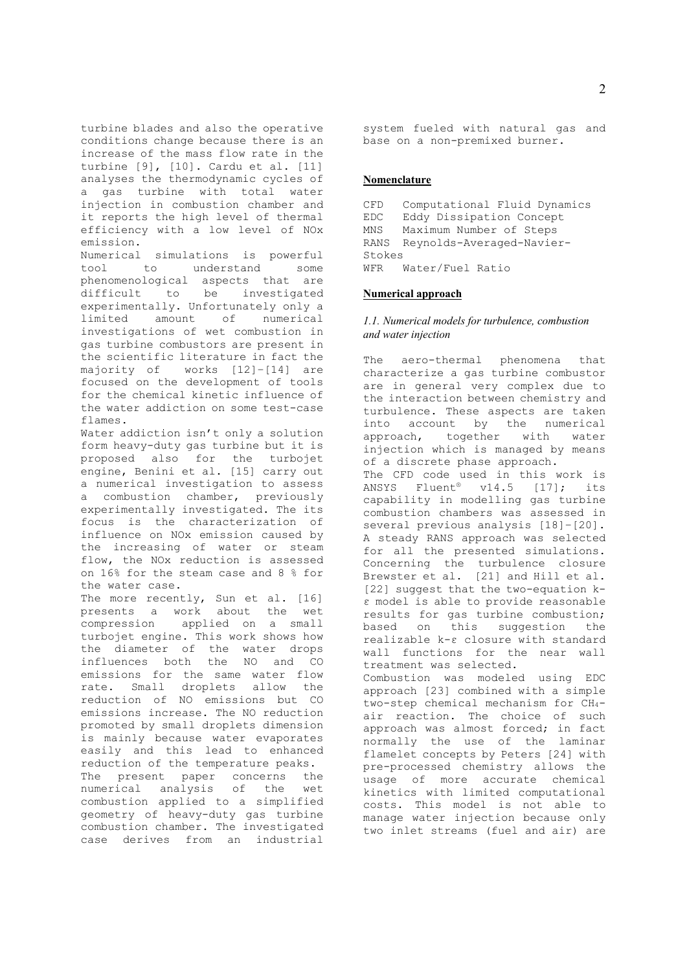turbine blades and also the operative conditions change because there is an increase of the mass flow rate in the turbine [9], [10]. Cardu et al. [11] analyses the thermodynamic cycles of a gas turbine with total water injection in combustion chamber and it reports the high level of thermal efficiency with a low level of NOx emission.

Numerical simulations is powerful tool to understand some phenomenological aspects that are difficult to be investigated experimentally. Unfortunately only a limited amount of numerical investigations of wet combustion in gas turbine combustors are present in the scientific literature in fact the majority of works [12]–[14] are focused on the development of tools for the chemical kinetic influence of the water addiction on some test-case flames.

Water addiction isn't only a solution form heavy-duty gas turbine but it is proposed also for the turbojet engine, Benini et al. [15] carry out a numerical investigation to assess a combustion chamber, previously experimentally investigated. The its focus is the characterization of influence on NOx emission caused by the increasing of water or steam flow, the NOx reduction is assessed on 16% for the steam case and 8 % for the water case.

The more recently, Sun et al. [16] presents a work about the wet compression applied on a small turbojet engine. This work shows how the diameter of the water drops influences both the NO and CO emissions for the same water flow rate. Small droplets allow the reduction of NO emissions but CO emissions increase. The NO reduction promoted by small droplets dimension is mainly because water evaporates easily and this lead to enhanced reduction of the temperature peaks. The present paper concerns the numerical analysis of the wet combustion applied to a simplified geometry of heavy-duty gas turbine combustion chamber. The investigated case derives from an industrial

system fueled with natural gas and base on a non-premixed burner.

### **Nomenclature**

CFD Computational Fluid Dynamics EDC Eddy Dissipation Concept MNS Maximum Number of Steps RANS Reynolds-Averaged-Navier-Stokes WFR Water/Fuel Ratio

#### **Numerical approach**

## *1.1. Numerical models for turbulence, combustion and water injection*

The aero-thermal phenomena that characterize a gas turbine combustor are in general very complex due to the interaction between chemistry and turbulence. These aspects are taken into account by the numerical approach, together with water injection which is managed by means of a discrete phase approach. The CFD code used in this work is ANSYS Fluent® v14.5 [17]; its capability in modelling gas turbine combustion chambers was assessed in several previous analysis [18]–[20]. A steady RANS approach was selected for all the presented simulations. Concerning the turbulence closure Brewster et al. [21] and Hill et al. [22] suggest that the two-equation kε model is able to provide reasonable results for gas turbine combustion; based on this suggestion the realizable k-ε closure with standard wall functions for the near wall treatment was selected. Combustion was modeled using EDC approach [23] combined with a simple two-step chemical mechanism for CH4 air reaction. The choice of such approach was almost forced; in fact normally the use of the laminar flamelet concepts by Peters [24] with pre-processed chemistry allows the usage of more accurate chemical kinetics with limited computational costs. This model is not able to manage water injection because only two inlet streams (fuel and air) are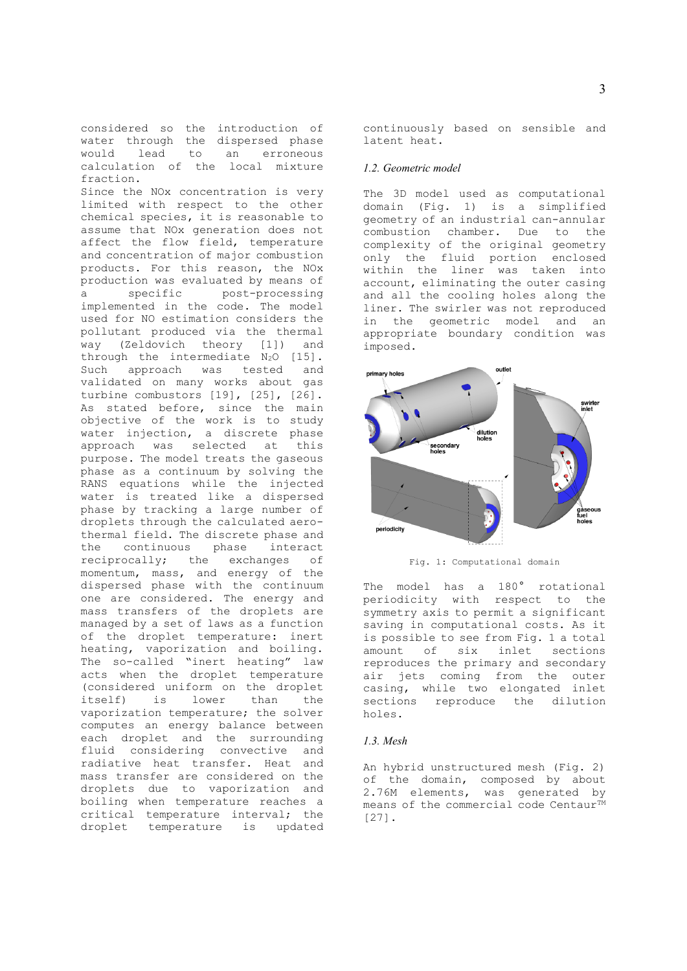considered so the introduction of water through the dispersed phase<br>would lead to an erroneous would lead to calculation of the local mixture fraction. Since the NOx concentration is very limited with respect to the other chemical species, it is reasonable to assume that NOx generation does not affect the flow field, temperature and concentration of major combustion products. For this reason, the NOx production was evaluated by means of a specific post-processing implemented in the code. The model used for NO estimation considers the pollutant produced via the thermal way (Zeldovich theory [1]) and through the intermediate N<sub>2</sub>O [15]. Such approach was tested and validated on many works about gas turbine combustors [19], [25], [26]. As stated before, since the main objective of the work is to study water injection, a discrete phase approach was selected at this purpose. The model treats the gaseous phase as a continuum by solving the RANS equations while the injected water is treated like a dispersed phase by tracking a large number of droplets through the calculated aerothermal field. The discrete phase and the continuous phase interact reciprocally; the exchanges of momentum, mass, and energy of the dispersed phase with the continuum one are considered. The energy and mass transfers of the droplets are managed by a set of laws as a function of the droplet temperature: inert heating, vaporization and boiling. The so-called "inert heating" law acts when the droplet temperature (considered uniform on the droplet<br>itself) is lower than the is lower than the vaporization temperature; the solver computes an energy balance between each droplet and the surrounding fluid considering convective and radiative heat transfer. Heat and mass transfer are considered on the droplets due to vaporization and boiling when temperature reaches a critical temperature interval; the droplet temperature is updated

continuously based on sensible and latent heat.

#### *1.2. Geometric model*

The 3D model used as computational domain (Fig. 1) is a simplified geometry of an industrial can-annular combustion chamber. Due to the complexity of the original geometry only the fluid portion enclosed within the liner was taken into account, eliminating the outer casing and all the cooling holes along the liner. The swirler was not reproduced in the geometric model and an appropriate boundary condition was imposed.



Fig. 1: Computational domain

The model has a 180° rotational periodicity with respect to the symmetry axis to permit a significant saving in computational costs. As it is possible to see from Fig. 1 a total amount of six inlet sections reproduces the primary and secondary air jets coming from the outer casing, while two elongated inlet sections reproduce the dilution holes.

### *1.3. Mesh*

An hybrid unstructured mesh (Fig. 2) of the domain, composed by about 2.76M elements, was generated by means of the commercial code Centaur<sup>TM</sup> [27].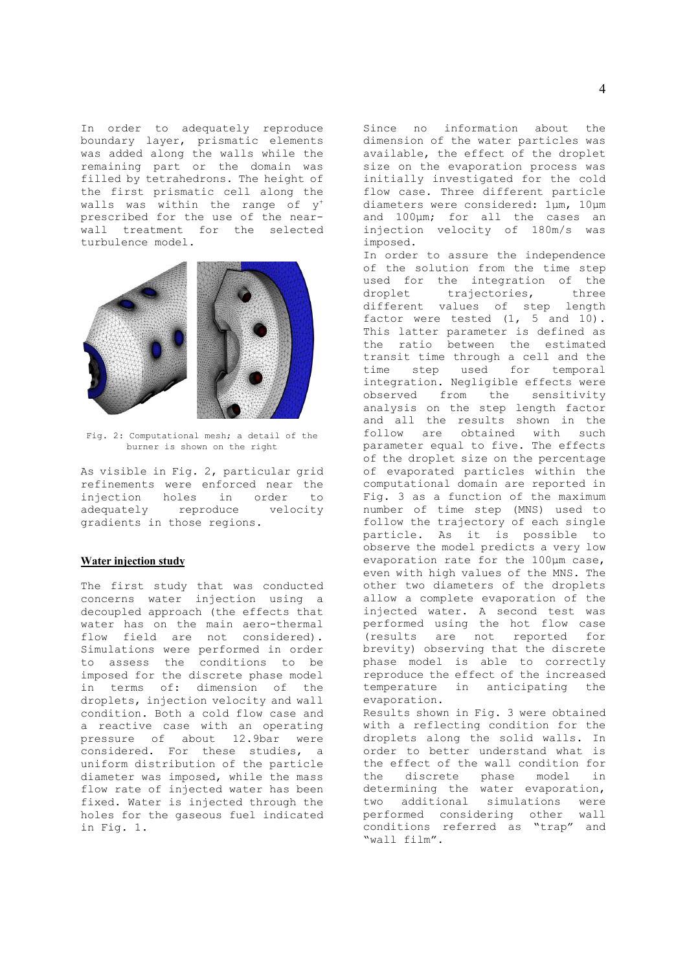In order to adequately reproduce boundary layer, prismatic elements was added along the walls while the remaining part or the domain was filled by tetrahedrons. The height of the first prismatic cell along the walls was within the range of y+ prescribed for the use of the nearwall treatment for the selected turbulence model.



Fig. 2: Computational mesh; a detail of the burner is shown on the right

As visible in Fig. 2, particular grid refinements were enforced near the injection holes in order to adequately reproduce velocity gradients in those regions.

## **Water injection study**

The first study that was conducted concerns water injection using a decoupled approach (the effects that water has on the main aero-thermal flow field are not considered). Simulations were performed in order to assess the conditions to be imposed for the discrete phase model in terms of: dimension of the droplets, injection velocity and wall condition. Both a cold flow case and a reactive case with an operating pressure of about 12.9bar were considered. For these studies, a uniform distribution of the particle diameter was imposed, while the mass flow rate of injected water has been fixed. Water is injected through the holes for the gaseous fuel indicated in Fig. 1.

Since no information about the dimension of the water particles was available, the effect of the droplet size on the evaporation process was initially investigated for the cold flow case. Three different particle diameters were considered: 1μm, 10μm and 100μm; for all the cases an injection velocity of 180m/s was imposed.

In order to assure the independence of the solution from the time step used for the integration of the droplet trajectories, three different values of step length factor were tested (1, 5 and 10). This latter parameter is defined as the ratio between the estimated transit time through a cell and the time step used for temporal integration. Negligible effects were observed from the sensitivity analysis on the step length factor and all the results shown in the follow are obtained with such parameter equal to five. The effects of the droplet size on the percentage of evaporated particles within the computational domain are reported in Fig. 3 as a function of the maximum number of time step (MNS) used to follow the trajectory of each single particle. As it is possible to observe the model predicts a very low evaporation rate for the 100μm case, even with high values of the MNS. The other two diameters of the droplets allow a complete evaporation of the injected water. A second test was performed using the hot flow case (results are not reported for brevity) observing that the discrete phase model is able to correctly reproduce the effect of the increased temperature in anticipating the evaporation. Results shown in Fig. 3 were obtained

with a reflecting condition for the droplets along the solid walls. In order to better understand what is the effect of the wall condition for the discrete phase model in determining the water evaporation, two additional simulations were performed considering other wall conditions referred as "trap" and "wall film".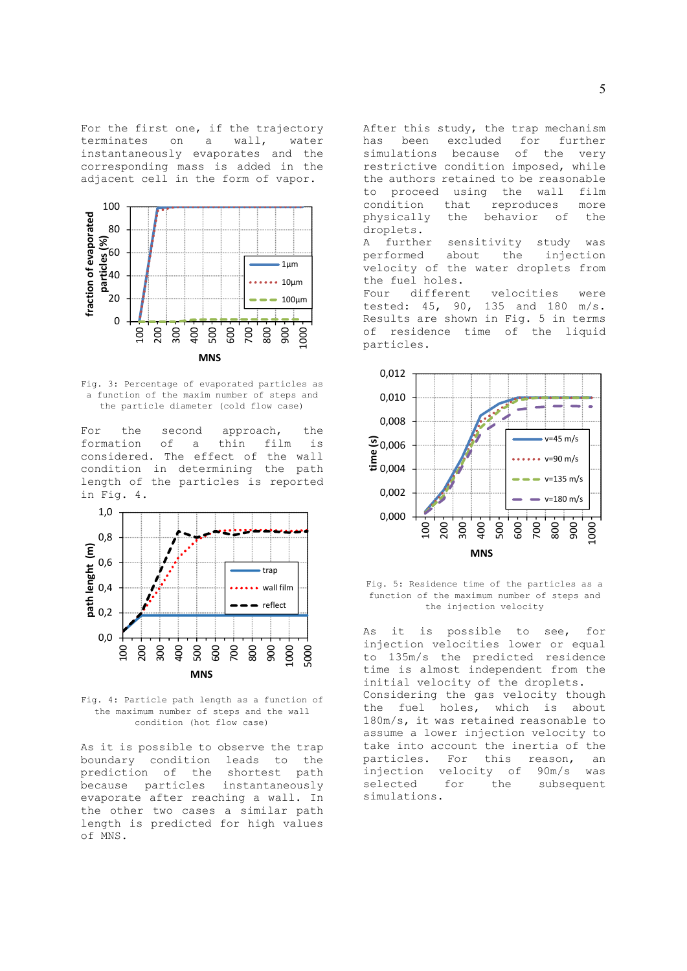For the first one, if the trajectory terminates on a wall, water instantaneously evaporates and the corresponding mass is added in the adjacent cell in the form of vapor.



Fig. 3: Percentage of evaporated particles as a function of the maxim number of steps and the particle diameter (cold flow case)

For the second approach, the formation of a thin film is considered. The effect of the wall condition in determining the path length of the particles is reported in Fig. 4.



Fig. 4: Particle path length as a function of the maximum number of steps and the wall condition (hot flow case)

As it is possible to observe the trap boundary condition leads to the prediction of the shortest path because particles instantaneously evaporate after reaching a wall. In the other two cases a similar path length is predicted for high values of MNS.

After this study, the trap mechanism has been excluded for further simulations because of the very restrictive condition imposed, while the authors retained to be reasonable to proceed using the wall film condition that reproduces more physically the behavior of the droplets.

A further sensitivity study was performed about the injection velocity of the water droplets from the fuel holes.

Four different velocities were tested: 45, 90, 135 and 180 m/s. Results are shown in Fig. 5 in terms of residence time of the liquid particles.



Fig. 5: Residence time of the particles as a function of the maximum number of steps and the injection velocity

As it is possible to see, for injection velocities lower or equal to 135m/s the predicted residence time is almost independent from the initial velocity of the droplets. Considering the gas velocity though the fuel holes, which is about 180m/s, it was retained reasonable to assume a lower injection velocity to take into account the inertia of the particles. For this reason, an injection velocity of 90m/s was selected for the subsequent simulations.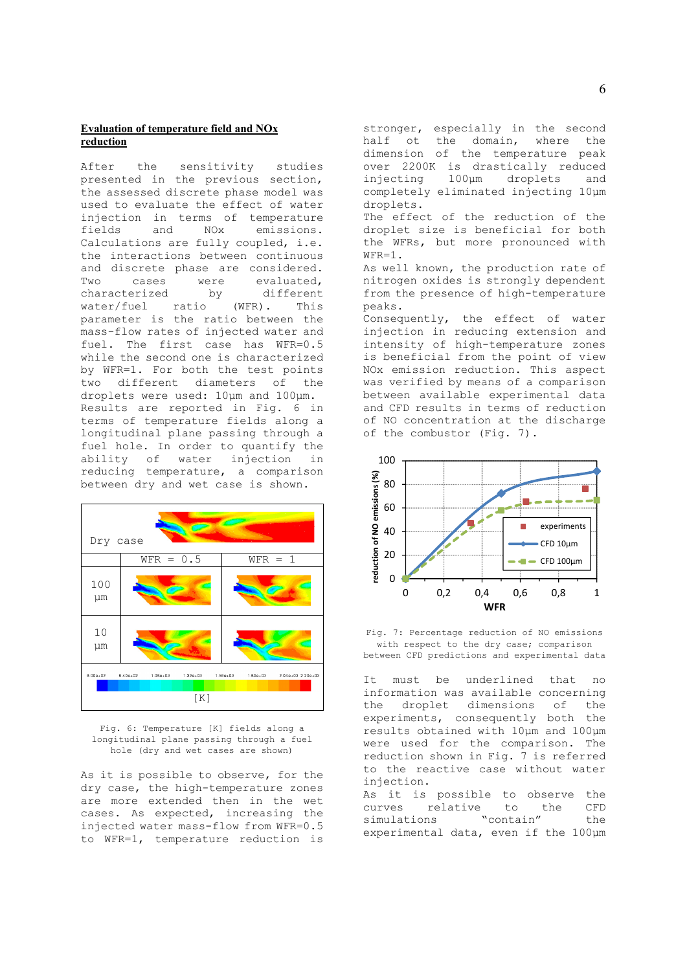# **Evaluation of temperature field and NOx reduction**

After the sensitivity studies presented in the previous section, the assessed discrete phase model was used to evaluate the effect of water injection in terms of temperature fields and NOx emissions. Calculations are fully coupled, i.e. the interactions between continuous and discrete phase are considered. Two cases were evaluated, characterized by different<br>water/fuel ratio (WFR). This water/fuel ratio (WFR). This parameter is the ratio between the mass-flow rates of injected water and fuel. The first case has WFR=0.5 while the second one is characterized by WFR=1. For both the test points two different diameters of the droplets were used: 10μm and 100μm. Results are reported in Fig. 6 in terms of temperature fields along a longitudinal plane passing through a fuel hole. In order to quantify the ability of water injection in reducing temperature, a comparison between dry and wet case is shown.



Fig. 6: Temperature [K] fields along a longitudinal plane passing through a fuel hole (dry and wet cases are shown)

As it is possible to observe, for the dry case, the high-temperature zones are more extended then in the wet cases. As expected, increasing the injected water mass-flow from WFR=0.5 to WFR=1, temperature reduction is

stronger, especially in the second half ot the domain, where the dimension of the temperature peak over 2200K is drastically reduced injecting 100μm droplets and completely eliminated injecting 10μm droplets.

The effect of the reduction of the droplet size is beneficial for both the WFRs, but more pronounced with WFR=1.

As well known, the production rate of nitrogen oxides is strongly dependent from the presence of high-temperature peaks.

Consequently, the effect of water injection in reducing extension and intensity of high-temperature zones is beneficial from the point of view NOx emission reduction. This aspect was verified by means of a comparison between available experimental data and CFD results in terms of reduction of NO concentration at the discharge of the combustor (Fig. 7).



Fig. 7: Percentage reduction of NO emissions with respect to the dry case; comparison between CFD predictions and experimental data

It must be underlined that no information was available concerning the droplet dimensions of the experiments, consequently both the results obtained with 10μm and 100μm were used for the comparison. The reduction shown in Fig. 7 is referred to the reactive case without water injection.

As it is possible to observe the curves relative to the CFD simulations "contain" the experimental data, even if the 100μm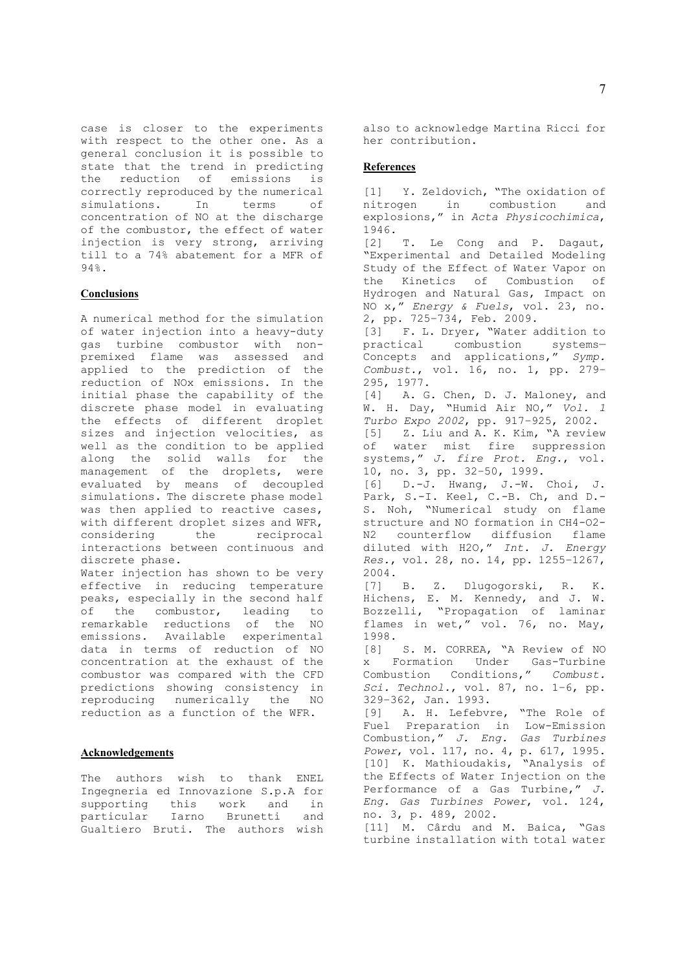case is closer to the experiments with respect to the other one. As a general conclusion it is possible to state that the trend in predicting the reduction of emissions is correctly reproduced by the numerical simulations. In terms of concentration of NO at the discharge of the combustor, the effect of water injection is very strong, arriving till to a 74% abatement for a MFR of 94%.

### **Conclusions**

A numerical method for the simulation of water injection into a heavy-duty gas turbine combustor with nonpremixed flame was assessed and applied to the prediction of the reduction of NOx emissions. In the initial phase the capability of the discrete phase model in evaluating the effects of different droplet sizes and injection velocities, as well as the condition to be applied along the solid walls for the management of the droplets, were evaluated by means of decoupled simulations. The discrete phase model was then applied to reactive cases, with different droplet sizes and WFR, considering the reciprocal interactions between continuous and discrete phase.

Water injection has shown to be very effective in reducing temperature peaks, especially in the second half of the combustor, leading to remarkable reductions of the NO emissions. Available experimental data in terms of reduction of NO concentration at the exhaust of the combustor was compared with the CFD predictions showing consistency in reproducing numerically the NO reduction as a function of the WFR.

### **Acknowledgements**

The authors wish to thank ENEL Ingegneria ed Innovazione S.p.A for supporting this work and in particular Iarno Brunetti and .<br>Gualtiero Bruti. The authors wish also to acknowledge Martina Ricci for her contribution.

### **References**

[1] Y. Zeldovich, "The oxidation of nitrogen in combustion and explosions," in *Acta Physicochimica*, 1946. [2] T. Le Cong and P. Dagaut, "Experimental and Detailed Modeling Study of the Effect of Water Vapor on the Kinetics of Combustion of Hydrogen and Natural Gas, Impact on NO x," *Energy & Fuels*, vol. 23, no. 2, pp. 725–734, Feb. 2009. [3] F. L. Dryer, "Water addition to practical combustion systems— Concepts and applications," *Symp. Combust.*, vol. 16, no. 1, pp. 279– 295, 1977. [4] A. G. Chen, D. J. Maloney, and W. H. Day, "Humid Air NO," *Vol. 1 Turbo Expo 2002*, pp. 917–925, 2002. [5] Z. Liu and A. K. Kim, "A review of water mist fire suppression systems," *J. fire Prot. Eng.*, vol. 10, no. 3, pp. 32–50, 1999. [6] D.-J. Hwang, J.-W. Choi, J. Park, S.-I. Keel, C.-B. Ch, and D.-S. Noh, "Numerical study on flame structure and NO formation in CH4-O2- N2 counterflow diffusion flame diluted with H2O," *Int. J. Energy Res.*, vol. 28, no. 14, pp. 1255–1267, 2004. [7] B. Z. Dlugogorski, R. K. Hichens, E. M. Kennedy, and J. W. Bozzelli, "Propagation of laminar flames in wet," vol. 76, no. May, 1998. [8] S. M. CORREA, "A Review of NO x Formation Under Gas-Turbine Combustion Conditions," *Combust. Sci. Technol.*, vol. 87, no. 1–6, pp. 329–362, Jan. 1993. [9] A. H. Lefebvre, "The Role of Fuel Preparation in Low-Emission Combustion," *J. Eng. Gas Turbines Power*, vol. 117, no. 4, p. 617, 1995. [10] K. Mathioudakis, "Analysis of the Effects of Water Injection on the Performance of a Gas Turbine," *J. Eng. Gas Turbines Power*, vol. 124, no. 3, p. 489, 2002. [11] M. Cârdu and M. Baica, "Gas turbine installation with total water